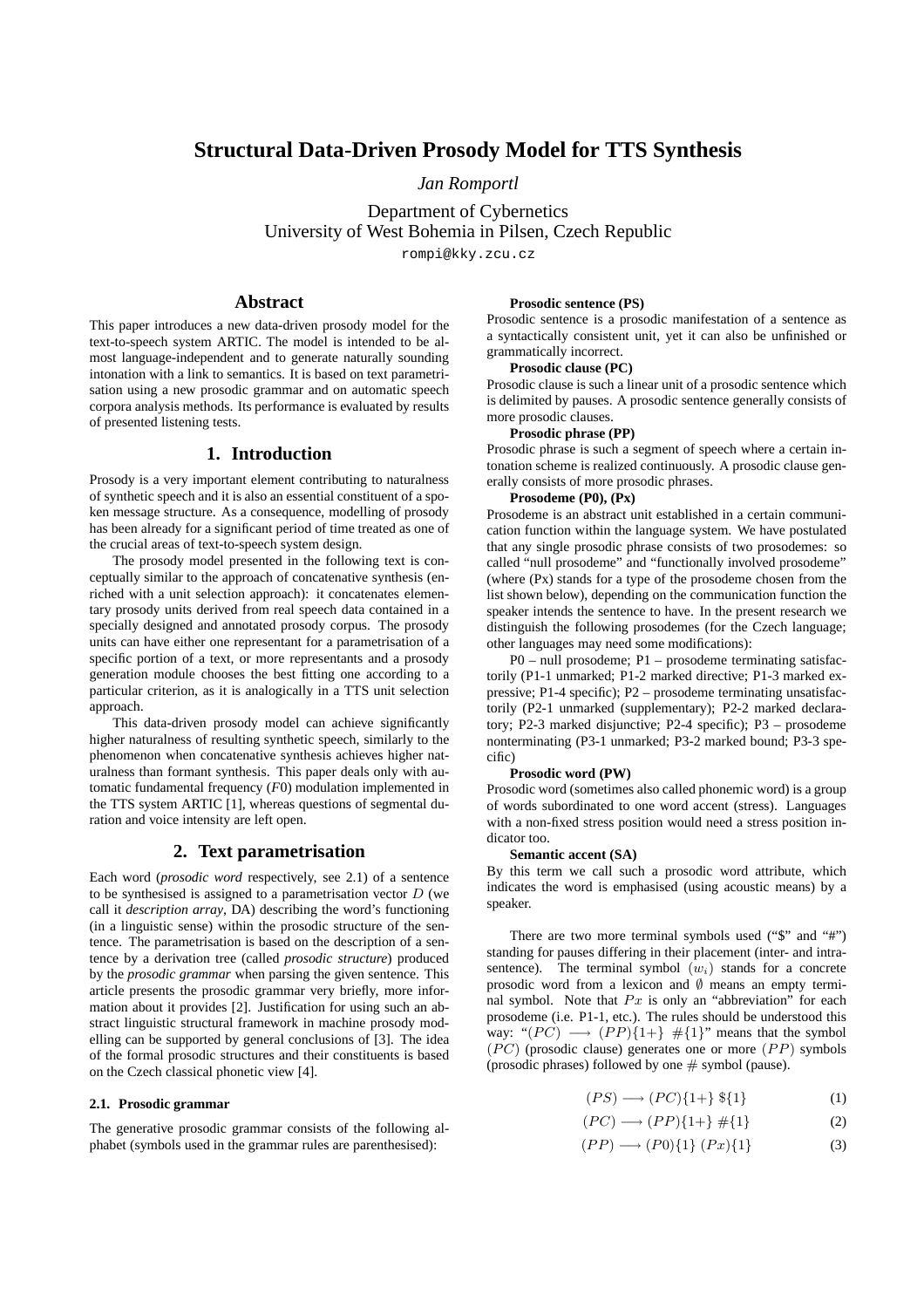# **Structural Data-Driven Prosody Model for TTS Synthesis**

*Jan Romportl*

Department of Cybernetics University of West Bohemia in Pilsen, Czech Republic

rompi@kky.zcu.cz

# **Abstract**

This paper introduces a new data-driven prosody model for the text-to-speech system ARTIC. The model is intended to be almost language-independent and to generate naturally sounding intonation with a link to semantics. It is based on text parametrisation using a new prosodic grammar and on automatic speech corpora analysis methods. Its performance is evaluated by results of presented listening tests.

# **1. Introduction**

Prosody is a very important element contributing to naturalness of synthetic speech and it is also an essential constituent of a spoken message structure. As a consequence, modelling of prosody has been already for a significant period of time treated as one of the crucial areas of text-to-speech system design.

The prosody model presented in the following text is conceptually similar to the approach of concatenative synthesis (enriched with a unit selection approach): it concatenates elementary prosody units derived from real speech data contained in a specially designed and annotated prosody corpus. The prosody units can have either one representant for a parametrisation of a specific portion of a text, or more representants and a prosody generation module chooses the best fitting one according to a particular criterion, as it is analogically in a TTS unit selection approach.

This data-driven prosody model can achieve significantly higher naturalness of resulting synthetic speech, similarly to the phenomenon when concatenative synthesis achieves higher naturalness than formant synthesis. This paper deals only with automatic fundamental frequency (*F*0) modulation implemented in the TTS system ARTIC [1], whereas questions of segmental duration and voice intensity are left open.

# **2. Text parametrisation**

Each word (*prosodic word* respectively, see 2.1) of a sentence to be synthesised is assigned to a parametrisation vector  $D$  (we call it *description array*, DA) describing the word's functioning (in a linguistic sense) within the prosodic structure of the sentence. The parametrisation is based on the description of a sentence by a derivation tree (called *prosodic structure*) produced by the *prosodic grammar* when parsing the given sentence. This article presents the prosodic grammar very briefly, more information about it provides [2]. Justification for using such an abstract linguistic structural framework in machine prosody modelling can be supported by general conclusions of [3]. The idea of the formal prosodic structures and their constituents is based on the Czech classical phonetic view [4].

### **2.1. Prosodic grammar**

The generative prosodic grammar consists of the following alphabet (symbols used in the grammar rules are parenthesised):

### **Prosodic sentence (PS)**

Prosodic sentence is a prosodic manifestation of a sentence as a syntactically consistent unit, yet it can also be unfinished or grammatically incorrect.

### **Prosodic clause (PC)**

Prosodic clause is such a linear unit of a prosodic sentence which is delimited by pauses. A prosodic sentence generally consists of more prosodic clauses.

# **Prosodic phrase (PP)**

Prosodic phrase is such a segment of speech where a certain intonation scheme is realized continuously. A prosodic clause generally consists of more prosodic phrases.

# **Prosodeme (P0), (Px)**

Prosodeme is an abstract unit established in a certain communication function within the language system. We have postulated that any single prosodic phrase consists of two prosodemes: so called "null prosodeme" and "functionally involved prosodeme" (where (Px) stands for a type of the prosodeme chosen from the list shown below), depending on the communication function the speaker intends the sentence to have. In the present research we distinguish the following prosodemes (for the Czech language; other languages may need some modifications):

P0 – null prosodeme; P1 – prosodeme terminating satisfactorily (P1-1 unmarked; P1-2 marked directive; P1-3 marked expressive; P1-4 specific); P2 – prosodeme terminating unsatisfactorily (P2-1 unmarked (supplementary); P2-2 marked declaratory; P2-3 marked disjunctive; P2-4 specific); P3 – prosodeme nonterminating (P3-1 unmarked; P3-2 marked bound; P3-3 specific)

### **Prosodic word (PW)**

Prosodic word (sometimes also called phonemic word) is a group of words subordinated to one word accent (stress). Languages with a non-fixed stress position would need a stress position indicator too.

### **Semantic accent (SA)**

By this term we call such a prosodic word attribute, which indicates the word is emphasised (using acoustic means) by a speaker.

There are two more terminal symbols used ("\$" and "#") standing for pauses differing in their placement (inter- and intrasentence). The terminal symbol  $(w_i)$  stands for a concrete prosodic word from a lexicon and ∅ means an empty terminal symbol. Note that  $Px$  is only an "abbreviation" for each prosodeme (i.e. P1-1, etc.). The rules should be understood this way: " $(PC) \rightarrow (PP){1+\} \# {1}$ " means that the symbol  $(PC)$  (prosodic clause) generates one or more  $(PP)$  symbols (prosodic phrases) followed by one # symbol (pause).

$$
(PS) \longrightarrow (PC){1+} \${1}
$$
 (1)

$$
(PC) \longrightarrow (PP)\{1+\} \neq \{1\} \tag{2}
$$

$$
(PP) \longrightarrow (P0)\{1\} (Px)\{1\}
$$
 (3)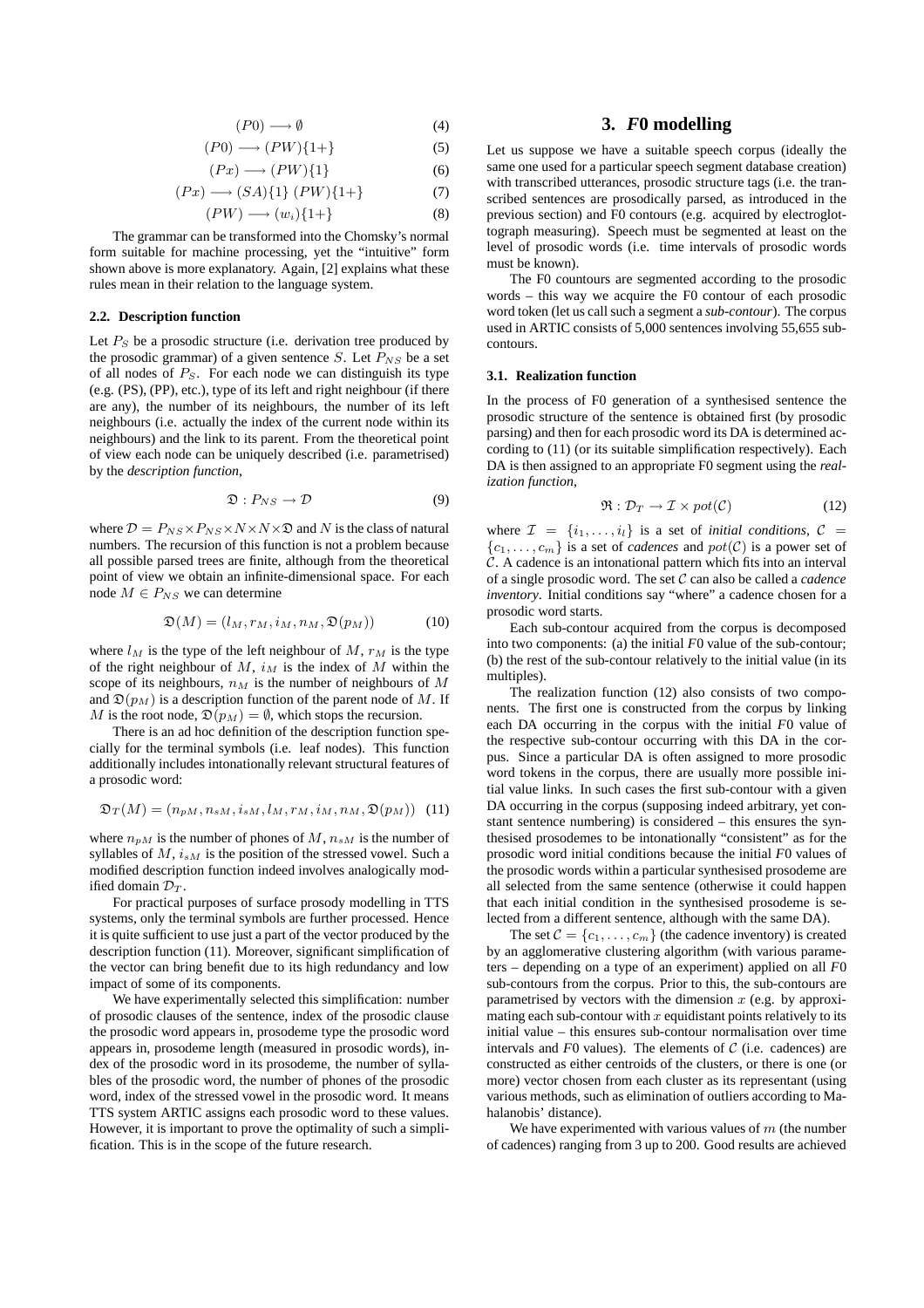$$
(P0) \longrightarrow \emptyset \tag{4}
$$

$$
(P0) \longrightarrow (PW)\{1+\} \tag{5}
$$

$$
(Px) \longrightarrow (PW)\{1\} \tag{6}
$$

$$
(Px) \longrightarrow (SA){1} (PW){1}+ \tag{7}
$$

$$
(PW) \longrightarrow (w_i)\{1+\} \tag{8}
$$

The grammar can be transformed into the Chomsky's normal form suitable for machine processing, yet the "intuitive" form shown above is more explanatory. Again, [2] explains what these rules mean in their relation to the language system.

### **2.2. Description function**

Let  $P<sub>S</sub>$  be a prosodic structure (i.e. derivation tree produced by the prosodic grammar) of a given sentence S. Let  $P_{NS}$  be a set of all nodes of  $P<sub>S</sub>$ . For each node we can distinguish its type (e.g. (PS), (PP), etc.), type of its left and right neighbour (if there are any), the number of its neighbours, the number of its left neighbours (i.e. actually the index of the current node within its neighbours) and the link to its parent. From the theoretical point of view each node can be uniquely described (i.e. parametrised) by the *description function*,

$$
\mathfrak{D}: P_{NS} \to \mathcal{D} \tag{9}
$$

where  $\mathcal{D} = P_{NS} \times P_{NS} \times N \times N \times \mathcal{D}$  and N is the class of natural numbers. The recursion of this function is not a problem because all possible parsed trees are finite, although from the theoretical point of view we obtain an infinite-dimensional space. For each node  $M \in P_{NS}$  we can determine

$$
\mathfrak{D}(M) = (l_M, r_M, i_M, n_M, \mathfrak{D}(p_M))
$$
 (10)

where  $l_M$  is the type of the left neighbour of M,  $r_M$  is the type of the right neighbour of  $M$ ,  $i_M$  is the index of  $M$  within the scope of its neighbours,  $n_M$  is the number of neighbours of M and  $\mathfrak{D}(p_M)$  is a description function of the parent node of M. If M is the root node,  $\mathfrak{D}(p_M) = \emptyset$ , which stops the recursion.

There is an ad hoc definition of the description function specially for the terminal symbols (i.e. leaf nodes). This function additionally includes intonationally relevant structural features of a prosodic word:

$$
\mathfrak{D}_T(M) = (n_{pM}, n_{sM}, i_{sM}, l_M, r_M, i_M, n_M, \mathfrak{D}(p_M)) \quad (11)
$$

where  $n_{pM}$  is the number of phones of  $M$ ,  $n_{sM}$  is the number of syllables of  $M$ ,  $i_{sM}$  is the position of the stressed vowel. Such a modified description function indeed involves analogically modified domain  $\mathcal{D}_T$ .

For practical purposes of surface prosody modelling in TTS systems, only the terminal symbols are further processed. Hence it is quite sufficient to use just a part of the vector produced by the description function (11). Moreover, significant simplification of the vector can bring benefit due to its high redundancy and low impact of some of its components.

We have experimentally selected this simplification: number of prosodic clauses of the sentence, index of the prosodic clause the prosodic word appears in, prosodeme type the prosodic word appears in, prosodeme length (measured in prosodic words), index of the prosodic word in its prosodeme, the number of syllables of the prosodic word, the number of phones of the prosodic word, index of the stressed vowel in the prosodic word. It means TTS system ARTIC assigns each prosodic word to these values. However, it is important to prove the optimality of such a simplification. This is in the scope of the future research.

# **3.** *F***0 modelling**

Let us suppose we have a suitable speech corpus (ideally the same one used for a particular speech segment database creation) with transcribed utterances, prosodic structure tags (i.e. the transcribed sentences are prosodically parsed, as introduced in the previous section) and F0 contours (e.g. acquired by electroglottograph measuring). Speech must be segmented at least on the level of prosodic words (i.e. time intervals of prosodic words must be known).

The F0 countours are segmented according to the prosodic words – this way we acquire the F0 contour of each prosodic word token (let us call such a segment a *sub-contour*). The corpus used in ARTIC consists of 5,000 sentences involving 55,655 subcontours.

### **3.1. Realization function**

In the process of F0 generation of a synthesised sentence the prosodic structure of the sentence is obtained first (by prosodic parsing) and then for each prosodic word its DA is determined according to (11) (or its suitable simplification respectively). Each DA is then assigned to an appropriate F0 segment using the *realization function*,

$$
\mathfrak{R}: \mathcal{D}_T \to \mathcal{I} \times pot(\mathcal{C}) \tag{12}
$$

where  $\mathcal{I} = \{i_1, \ldots, i_l\}$  is a set of *initial conditions*,  $\mathcal{C} =$  $\{c_1, \ldots, c_m\}$  is a set of *cadences* and  $pot(C)$  is a power set of  $C.$  A cadence is an intonational pattern which fits into an interval of a single prosodic word. The set C can also be called a *cadence inventory*. Initial conditions say "where" a cadence chosen for a prosodic word starts.

Each sub-contour acquired from the corpus is decomposed into two components: (a) the initial *F*0 value of the sub-contour; (b) the rest of the sub-contour relatively to the initial value (in its multiples).

The realization function (12) also consists of two components. The first one is constructed from the corpus by linking each DA occurring in the corpus with the initial *F*0 value of the respective sub-contour occurring with this DA in the corpus. Since a particular DA is often assigned to more prosodic word tokens in the corpus, there are usually more possible initial value links. In such cases the first sub-contour with a given DA occurring in the corpus (supposing indeed arbitrary, yet constant sentence numbering) is considered – this ensures the synthesised prosodemes to be intonationally "consistent" as for the prosodic word initial conditions because the initial *F*0 values of the prosodic words within a particular synthesised prosodeme are all selected from the same sentence (otherwise it could happen that each initial condition in the synthesised prosodeme is selected from a different sentence, although with the same DA).

The set  $C = \{c_1, \ldots, c_m\}$  (the cadence inventory) is created by an agglomerative clustering algorithm (with various parameters – depending on a type of an experiment) applied on all *F*0 sub-contours from the corpus. Prior to this, the sub-contours are parametrised by vectors with the dimension  $x$  (e.g. by approximating each sub-contour with  $x$  equidistant points relatively to its initial value – this ensures sub-contour normalisation over time intervals and  $F0$  values). The elements of  $C$  (i.e. cadences) are constructed as either centroids of the clusters, or there is one (or more) vector chosen from each cluster as its representant (using various methods, such as elimination of outliers according to Mahalanobis' distance).

We have experimented with various values of  $m$  (the number of cadences) ranging from 3 up to 200. Good results are achieved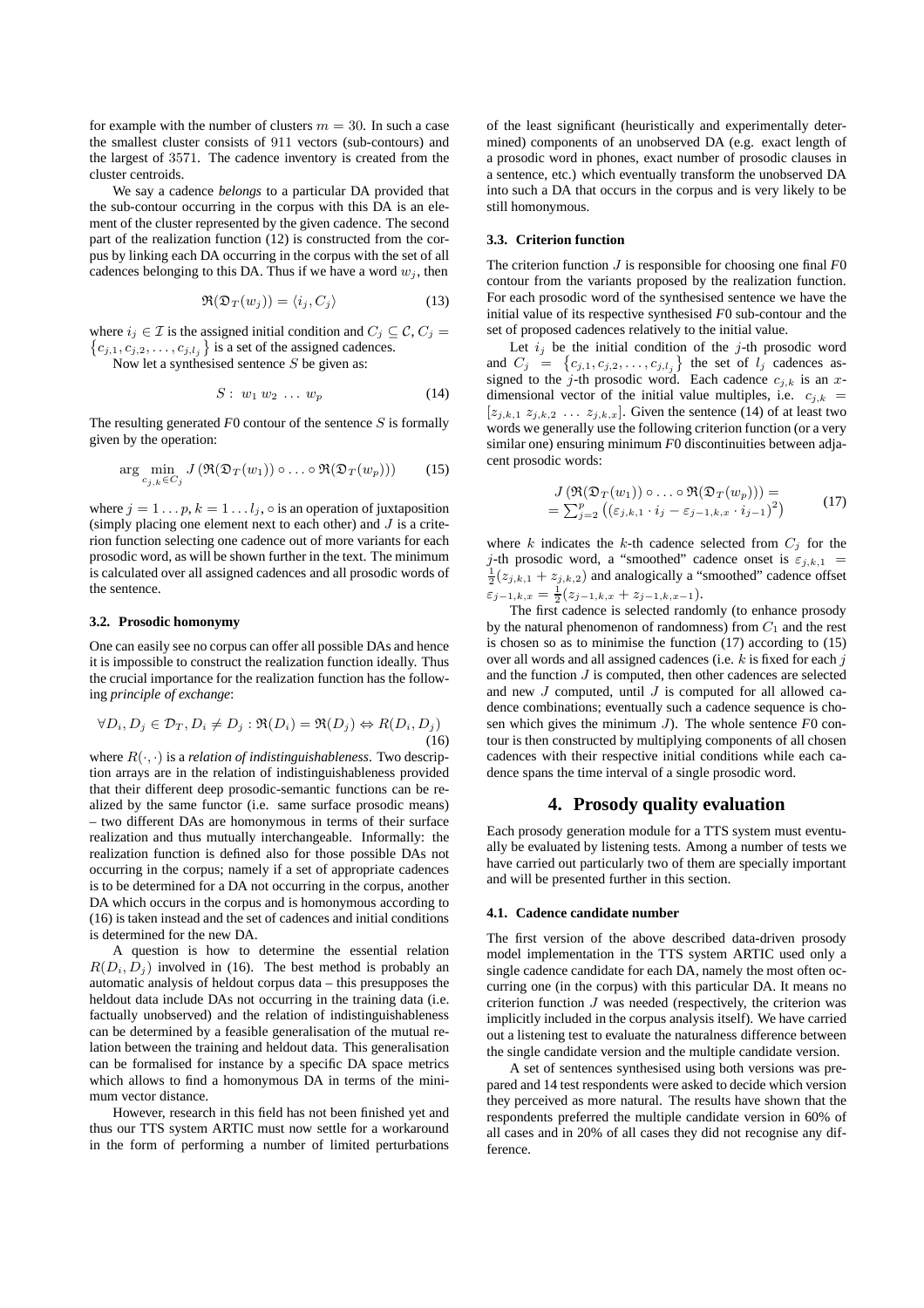for example with the number of clusters  $m = 30$ . In such a case the smallest cluster consists of 911 vectors (sub-contours) and the largest of 3571. The cadence inventory is created from the cluster centroids.

We say a cadence *belongs* to a particular DA provided that the sub-contour occurring in the corpus with this DA is an element of the cluster represented by the given cadence. The second part of the realization function (12) is constructed from the corpus by linking each DA occurring in the corpus with the set of all cadences belonging to this DA. Thus if we have a word  $w_i$ , then

$$
\Re(\mathfrak{D}_T(w_j)) = \langle i_j, C_j \rangle \tag{13}
$$

 ${c_{j,1}, c_{j,2}, \ldots, c_{j,l_j}}$  is a set of the assigned cadences. where  $i_j \in \mathcal{I}$  is the assigned initial condition and  $C_j \subseteq \mathcal{C}$ ,  $C_j =$ 

Now let a synthesised sentence  $S$  be given as:

$$
S: w_1 w_2 \ldots w_p \qquad \qquad (14)
$$

The resulting generated *F*0 contour of the sentence *S* is formally given by the operation:

$$
\arg\min_{c_{j,k}\in C_j} J\left(\Re(\mathfrak{D}_T(w_1))\circ\ldots\circ\Re(\mathfrak{D}_T(w_p))\right) \tag{15}
$$

where  $j = 1 \dots p$ ,  $k = 1 \dots l_j$ ,  $\circ$  is an operation of juxtaposition (simply placing one element next to each other) and  $J$  is a criterion function selecting one cadence out of more variants for each prosodic word, as will be shown further in the text. The minimum is calculated over all assigned cadences and all prosodic words of the sentence.

#### **3.2. Prosodic homonymy**

One can easily see no corpus can offer all possible DAs and hence it is impossible to construct the realization function ideally. Thus the crucial importance for the realization function has the following *principle of exchange*:

$$
\forall D_i, D_j \in \mathcal{D}_T, D_i \neq D_j : \Re(D_i) = \Re(D_j) \Leftrightarrow R(D_i, D_j)
$$
\n(16)

where  $R(\cdot, \cdot)$  is a *relation of indistinguishableness*. Two description arrays are in the relation of indistinguishableness provided that their different deep prosodic-semantic functions can be realized by the same functor (i.e. same surface prosodic means) – two different DAs are homonymous in terms of their surface realization and thus mutually interchangeable. Informally: the realization function is defined also for those possible DAs not occurring in the corpus; namely if a set of appropriate cadences is to be determined for a DA not occurring in the corpus, another DA which occurs in the corpus and is homonymous according to (16) is taken instead and the set of cadences and initial conditions is determined for the new DA.

A question is how to determine the essential relation  $R(D_i, D_j)$  involved in (16). The best method is probably an automatic analysis of heldout corpus data – this presupposes the heldout data include DAs not occurring in the training data (i.e. factually unobserved) and the relation of indistinguishableness can be determined by a feasible generalisation of the mutual relation between the training and heldout data. This generalisation can be formalised for instance by a specific DA space metrics which allows to find a homonymous DA in terms of the minimum vector distance.

However, research in this field has not been finished yet and thus our TTS system ARTIC must now settle for a workaround in the form of performing a number of limited perturbations

of the least significant (heuristically and experimentally determined) components of an unobserved DA (e.g. exact length of a prosodic word in phones, exact number of prosodic clauses in a sentence, etc.) which eventually transform the unobserved DA into such a DA that occurs in the corpus and is very likely to be still homonymous.

### **3.3. Criterion function**

The criterion function J is responsible for choosing one final *F*0 contour from the variants proposed by the realization function. For each prosodic word of the synthesised sentence we have the initial value of its respective synthesised *F*0 sub-contour and the set of proposed cadences relatively to the initial value.

Let  $i_j$  be the initial condition of the j-th prosodic word and  $C_j = \{c_{j,1}, c_{j,2}, \ldots, c_{j,l_j}\}\$  the set of  $l_j$  cadences assigned to the j-th prosodic word. Each cadence  $c_{j,k}$  is an xdimensional vector of the initial value multiples, i.e.  $c_{j,k}$  =  $[z_{j,k,1} \, z_{j,k,2} \, \ldots \, z_{j,k,x}]$ . Given the sentence (14) of at least two words we generally use the following criterion function (or a very similar one) ensuring minimum *F*0 discontinuities between adjacent prosodic words:

$$
J\left(\Re(\mathfrak{D}_T(w_1))\circ\ldots\circ\Re(\mathfrak{D}_T(w_p))\right) = \sum_{j=2}^p \left(\left(\varepsilon_{j,k,1}\cdot i_j - \varepsilon_{j-1,k,x}\cdot i_{j-1}\right)^2\right)
$$
(17)

where k indicates the k-th cadence selected from  $C_j$  for the j-th prosodic word, a "smoothed" cadence onset is  $\varepsilon_{j,k,1}$  =  $\frac{1}{2}(z_{j,k,1} + z_{j,k,2})$  and analogically a "smoothed" cadence offset  $\varepsilon_{j-1,k,x} = \frac{1}{2}(z_{j-1,k,x} + z_{j-1,k,x-1}).$ 

The first cadence is selected randomly (to enhance prosody by the natural phenomenon of randomness) from  $C_1$  and the rest is chosen so as to minimise the function (17) according to (15) over all words and all assigned cadences (i.e.  $k$  is fixed for each  $j$ and the function  $J$  is computed, then other cadences are selected and new  $J$  computed, until  $J$  is computed for all allowed cadence combinations; eventually such a cadence sequence is chosen which gives the minimum J). The whole sentence *F*0 contour is then constructed by multiplying components of all chosen cadences with their respective initial conditions while each cadence spans the time interval of a single prosodic word.

# **4. Prosody quality evaluation**

Each prosody generation module for a TTS system must eventually be evaluated by listening tests. Among a number of tests we have carried out particularly two of them are specially important and will be presented further in this section.

### **4.1. Cadence candidate number**

The first version of the above described data-driven prosody model implementation in the TTS system ARTIC used only a single cadence candidate for each DA, namely the most often occurring one (in the corpus) with this particular DA. It means no criterion function  $J$  was needed (respectively, the criterion was implicitly included in the corpus analysis itself). We have carried out a listening test to evaluate the naturalness difference between the single candidate version and the multiple candidate version.

A set of sentences synthesised using both versions was prepared and 14 test respondents were asked to decide which version they perceived as more natural. The results have shown that the respondents preferred the multiple candidate version in 60% of all cases and in 20% of all cases they did not recognise any difference.